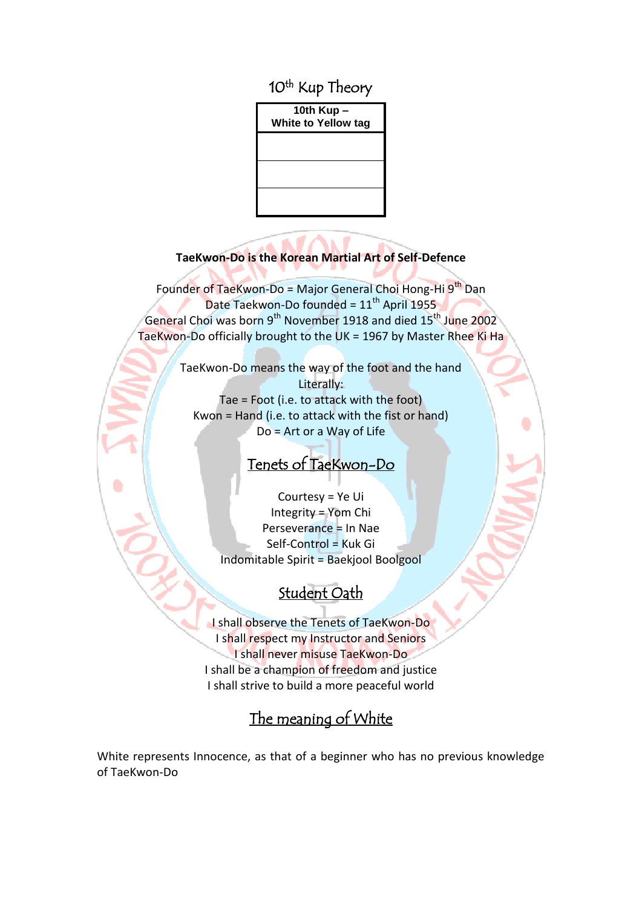10<sup>th</sup> Kup Theory

**10th Kup – White to Yellow tag**

#### **TaeKwon-Do is the Korean Martial Art of Self-Defence**

Founder of TaeKwon-Do = Major General Choi Hong-Hi 9<sup>th</sup> Dan Date Taekwon-Do founded =  $11<sup>th</sup>$  April 1955 General Choi was born 9<sup>th</sup> November 1918 and died 15<sup>th</sup> June 2002 TaeKwon-Do officially brought to the UK = 1967 by Master Rhee Ki Ha

> TaeKwon-Do means the way of the foot and the hand Literally: Tae = Foot (i.e. to attack with the foot) Kwon = Hand (i.e. to attack with the fist or hand) Do = Art or a Way of Life

# Tenets of TaeKwon-Do

Courtesy = Ye Ui Integrity = Yom Chi Perseverance = In Nae Self-Control = Kuk Gi Indomitable Spirit = Baekjool Boolgool

# Student Oath

I shall observe the Tenets of TaeKwon-Do I shall respect my Instructor and Seniors I shall never misuse TaeKwon-Do I shall be a champion of freedom and justice I shall strive to build a more peaceful world

# The meaning of White

White represents Innocence, as that of a beginner who has no previous knowledge of TaeKwon-Do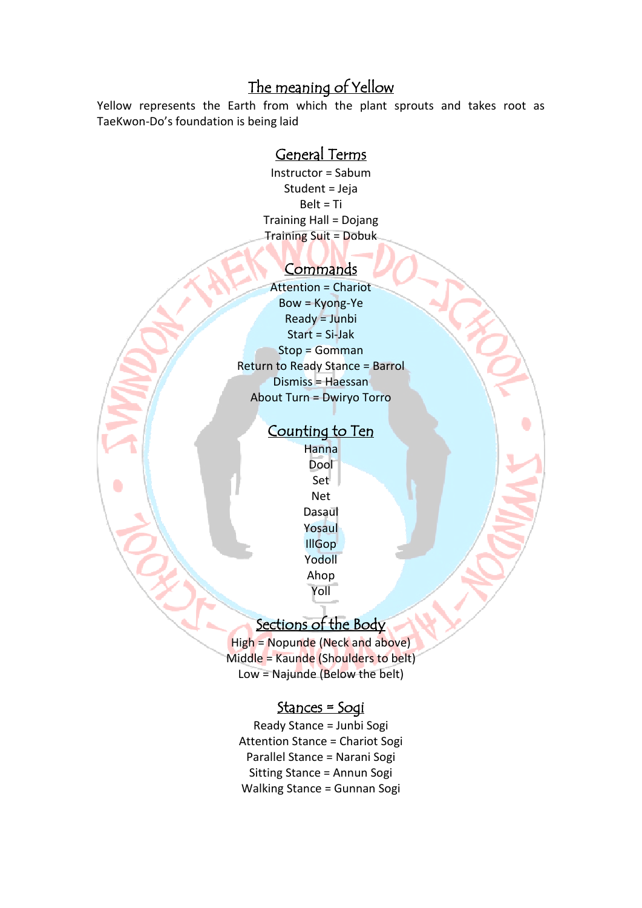# The meaning of Yellow

Yellow represents the Earth from which the plant sprouts and takes root as TaeKwon-Do's foundation is being laid

## General Terms

Instructor = Sabum Student = Jeja Belt = Ti Training Hall = Dojang Training Suit = Dobuk

#### **Commands**

Attention = Chariot Bow = Kyong-Ye Ready = Junbi Start = Si-Jak Stop = Gomman Return to Ready Stance = Barrol Dismiss = Haessan About Turn = Dwiryo Torro

#### Counting to Ten

Hanna Dool Set Net Dasaul Yosaul IllGop Yodoll Ahop Yoll

## Sections of the Body

High = Nopunde (Neck and above) Middle = Kaunde (Shoulders to belt) Low = Najunde (Below the belt)

#### Stances = Sogi

Ready Stance = Junbi Sogi Attention Stance = Chariot Sogi Parallel Stance = Narani Sogi Sitting Stance = Annun Sogi Walking Stance = Gunnan Sogi